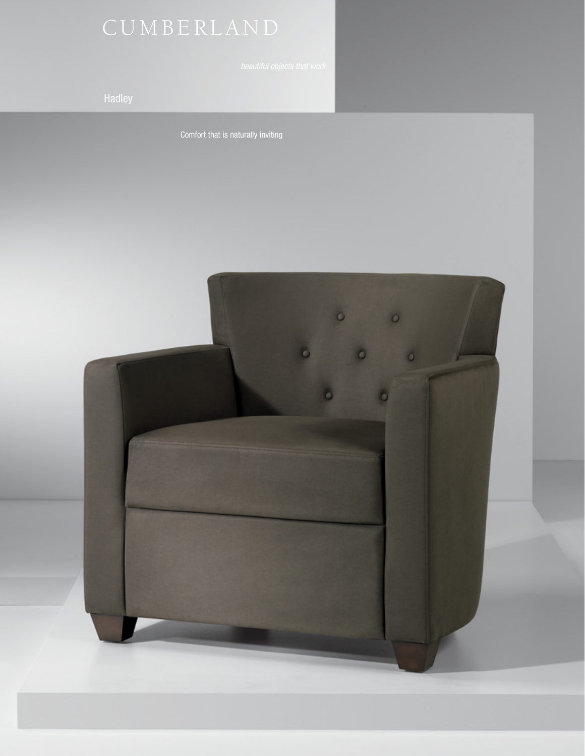Comfort that is naturally inviting